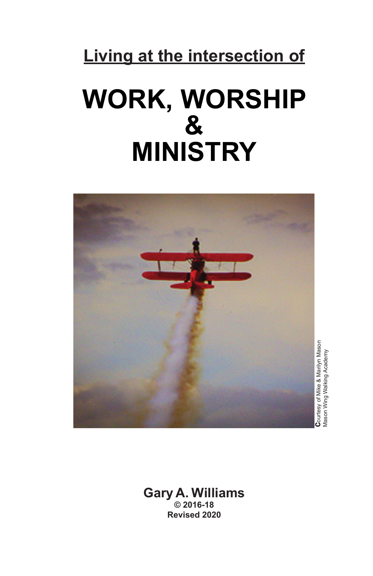# **Living at the intersection of**

# **WORK, WORSHIP & MINISTRY**



**C**ourtesy of Mike & Marilyn Mason<br>Mason Wing Walking Academy Mason Wing Walking Academy

**Gary A. Williams © 2016-18 Revised 2020**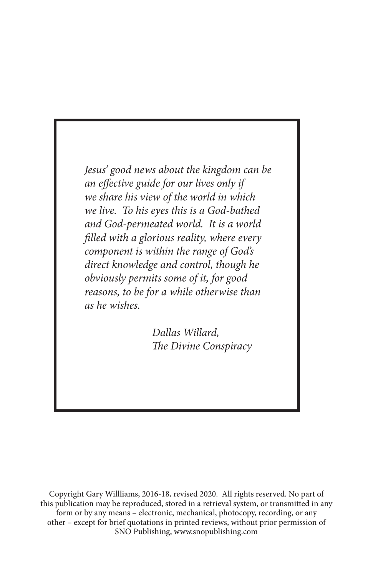*Jesus' good news about the kingdom can be an effective guide for our lives only if we share his view of the world in which we live. To his eyes this is a God-bathed and God-permeated world. It is a world filled with a glorious reality, where every component is within the range of God's direct knowledge and control, though he obviously permits some of it, for good reasons, to be for a while otherwise than as he wishes.* 

> *Dallas Willard, The Divine Conspiracy*

Copyright Gary Willliams, 2016-18, revised 2020. All rights reserved. No part of this publication may be reproduced, stored in a retrieval system, or transmitted in any form or by any means – electronic, mechanical, photocopy, recording, or any other – except for brief quotations in printed reviews, without prior permission of SNO Publishing, www.snopublishing.com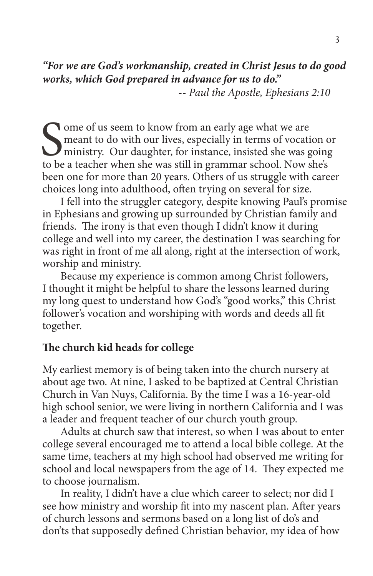*"For we are God's workmanship, created in Christ Jesus to do good works, which God prepared in advance for us to do."* 

-- *Paul the Apostle, Ephesians 2:10*

Some of us seem to know from an early age what we are<br>meant to do with our lives, especially in terms of vocation<br>ministry. Our daughter, for instance, insisted she was g<br>to be a teacher when she was still in grammar schoo meant to do with our lives, especially in terms of vocation or ministry. Our daughter, for instance, insisted she was going to be a teacher when she was still in grammar school. Now she's been one for more than 20 years. Others of us struggle with career choices long into adulthood, often trying on several for size.

 I fell into the struggler category, despite knowing Paul's promise in Ephesians and growing up surrounded by Christian family and friends. The irony is that even though I didn't know it during college and well into my career, the destination I was searching for was right in front of me all along, right at the intersection of work, worship and ministry.

 Because my experience is common among Christ followers, I thought it might be helpful to share the lessons learned during my long quest to understand how God's "good works," this Christ follower's vocation and worshiping with words and deeds all fit together.

# **The church kid heads for college**

My earliest memory is of being taken into the church nursery at about age two. At nine, I asked to be baptized at Central Christian Church in Van Nuys, California. By the time I was a 16-year-old high school senior, we were living in northern California and I was a leader and frequent teacher of our church youth group.

 Adults at church saw that interest, so when I was about to enter college several encouraged me to attend a local bible college. At the same time, teachers at my high school had observed me writing for school and local newspapers from the age of 14. They expected me to choose journalism.

 In reality, I didn't have a clue which career to select; nor did I see how ministry and worship fit into my nascent plan. After years of church lessons and sermons based on a long list of do's and don'ts that supposedly defined Christian behavior, my idea of how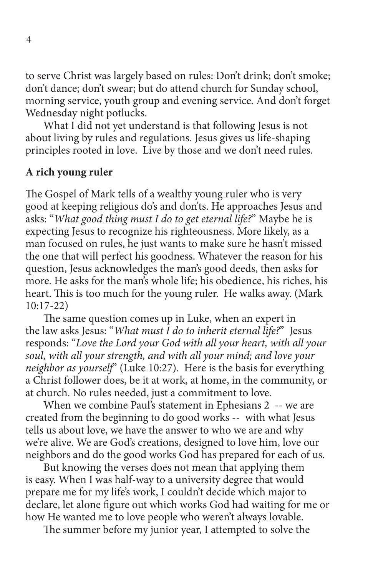to serve Christ was largely based on rules: Don't drink; don't smoke; don't dance; don't swear; but do attend church for Sunday school, morning service, youth group and evening service. And don't forget Wednesday night potlucks.

 What I did not yet understand is that following Jesus is not about living by rules and regulations. Jesus gives us life-shaping principles rooted in love. Live by those and we don't need rules.

#### **A rich young ruler**

The Gospel of Mark tells of a wealthy young ruler who is very good at keeping religious do's and don'ts. He approaches Jesus and asks: "*What good thing must I do to get eternal life?*" Maybe he is expecting Jesus to recognize his righteousness. More likely, as a man focused on rules, he just wants to make sure he hasn't missed the one that will perfect his goodness. Whatever the reason for his question, Jesus acknowledges the man's good deeds, then asks for more. He asks for the man's whole life; his obedience, his riches, his heart. This is too much for the young ruler. He walks away. (Mark 10:17-22)

 The same question comes up in Luke, when an expert in the law asks Jesus: "*What must I do to inherit eternal life?*" Jesus responds: "*Love the Lord your God with all your heart, with all your soul, with all your strength, and with all your mind; and love your neighbor as yourself*" (Luke 10:27). Here is the basis for everything a Christ follower does, be it at work, at home, in the community, or at church. No rules needed, just a commitment to love.

 When we combine Paul's statement in Ephesians 2 -- we are created from the beginning to do good works -- with what Jesus tells us about love, we have the answer to who we are and why we're alive. We are God's creations, designed to love him, love our neighbors and do the good works God has prepared for each of us.

 But knowing the verses does not mean that applying them is easy. When I was half-way to a university degree that would prepare me for my life's work, I couldn't decide which major to declare, let alone figure out which works God had waiting for me or how He wanted me to love people who weren't always lovable.

The summer before my junior year, I attempted to solve the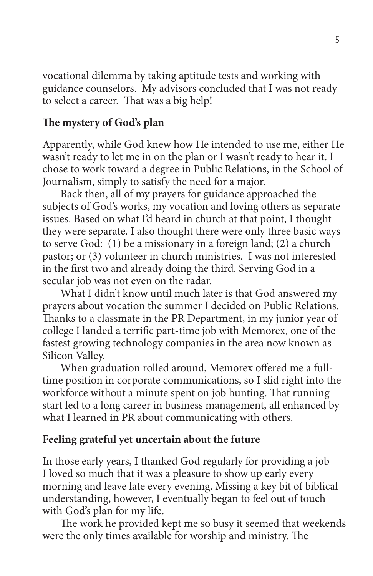vocational dilemma by taking aptitude tests and working with guidance counselors. My advisors concluded that I was not ready to select a career. That was a big help!

# **The mystery of God's plan**

Apparently, while God knew how He intended to use me, either He wasn't ready to let me in on the plan or I wasn't ready to hear it. I chose to work toward a degree in Public Relations, in the School of Journalism, simply to satisfy the need for a major.

 Back then, all of my prayers for guidance approached the subjects of God's works, my vocation and loving others as separate issues. Based on what I'd heard in church at that point, I thought they were separate. I also thought there were only three basic ways to serve God: (1) be a missionary in a foreign land; (2) a church pastor; or (3) volunteer in church ministries. I was not interested in the first two and already doing the third. Serving God in a secular job was not even on the radar.

 What I didn't know until much later is that God answered my prayers about vocation the summer I decided on Public Relations. Thanks to a classmate in the PR Department, in my junior year of college I landed a terrific part-time job with Memorex, one of the fastest growing technology companies in the area now known as Silicon Valley.

 When graduation rolled around, Memorex offered me a fulltime position in corporate communications, so I slid right into the workforce without a minute spent on job hunting. That running start led to a long career in business management, all enhanced by what I learned in PR about communicating with others.

# **Feeling grateful yet uncertain about the future**

In those early years, I thanked God regularly for providing a job I loved so much that it was a pleasure to show up early every morning and leave late every evening. Missing a key bit of biblical understanding, however, I eventually began to feel out of touch with God's plan for my life.

 The work he provided kept me so busy it seemed that weekends were the only times available for worship and ministry. The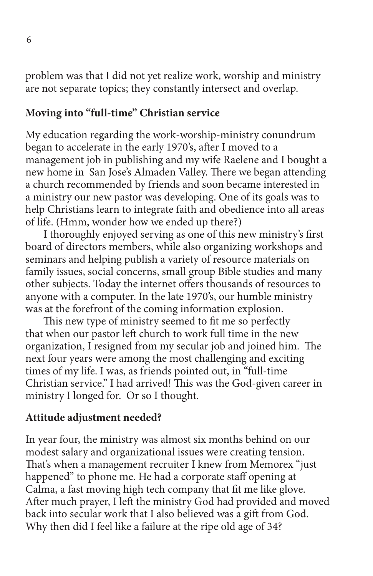problem was that I did not yet realize work, worship and ministry are not separate topics; they constantly intersect and overlap.

#### **Moving into "full-time" Christian service**

My education regarding the work-worship-ministry conundrum began to accelerate in the early 1970's, after I moved to a management job in publishing and my wife Raelene and I bought a new home in San Jose's Almaden Valley. There we began attending a church recommended by friends and soon became interested in a ministry our new pastor was developing. One of its goals was to help Christians learn to integrate faith and obedience into all areas of life. (Hmm, wonder how we ended up there?)

 I thoroughly enjoyed serving as one of this new ministry's first board of directors members, while also organizing workshops and seminars and helping publish a variety of resource materials on family issues, social concerns, small group Bible studies and many other subjects. Today the internet offers thousands of resources to anyone with a computer. In the late 1970's, our humble ministry was at the forefront of the coming information explosion.

 This new type of ministry seemed to fit me so perfectly that when our pastor left church to work full time in the new organization, I resigned from my secular job and joined him. The next four years were among the most challenging and exciting times of my life. I was, as friends pointed out, in "full-time Christian service." I had arrived! This was the God-given career in ministry I longed for. Or so I thought.

#### **Attitude adjustment needed?**

In year four, the ministry was almost six months behind on our modest salary and organizational issues were creating tension. That's when a management recruiter I knew from Memorex "just happened" to phone me. He had a corporate staff opening at Calma, a fast moving high tech company that fit me like glove. After much prayer, I left the ministry God had provided and moved back into secular work that I also believed was a gift from God. Why then did I feel like a failure at the ripe old age of 34?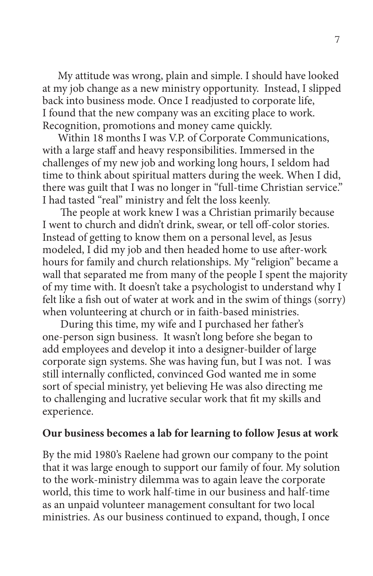My attitude was wrong, plain and simple. I should have looked at my job change as a new ministry opportunity. Instead, I slipped back into business mode. Once I readjusted to corporate life, I found that the new company was an exciting place to work. Recognition, promotions and money came quickly.

 Within 18 months I was V.P. of Corporate Communications, with a large staff and heavy responsibilities. Immersed in the challenges of my new job and working long hours, I seldom had time to think about spiritual matters during the week. When I did, there was guilt that I was no longer in "full-time Christian service." I had tasted "real" ministry and felt the loss keenly.

 The people at work knew I was a Christian primarily because I went to church and didn't drink, swear, or tell off-color stories. Instead of getting to know them on a personal level, as Jesus modeled, I did my job and then headed home to use after-work hours for family and church relationships. My "religion" became a wall that separated me from many of the people I spent the majority of my time with. It doesn't take a psychologist to understand why I felt like a fish out of water at work and in the swim of things (sorry) when volunteering at church or in faith-based ministries.

 During this time, my wife and I purchased her father's one-person sign business. It wasn't long before she began to add employees and develop it into a designer-builder of large corporate sign systems. She was having fun, but I was not. I was still internally conflicted, convinced God wanted me in some sort of special ministry, yet believing He was also directing me to challenging and lucrative secular work that fit my skills and experience.

#### **Our business becomes a lab for learning to follow Jesus at work**

By the mid 1980's Raelene had grown our company to the point that it was large enough to support our family of four. My solution to the work-ministry dilemma was to again leave the corporate world, this time to work half-time in our business and half-time as an unpaid volunteer management consultant for two local ministries. As our business continued to expand, though, I once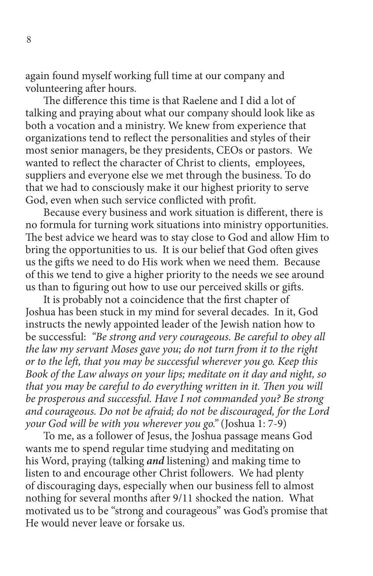again found myself working full time at our company and volunteering after hours.

 The difference this time is that Raelene and I did a lot of talking and praying about what our company should look like as both a vocation and a ministry. We knew from experience that organizations tend to reflect the personalities and styles of their most senior managers, be they presidents, CEOs or pastors. We wanted to reflect the character of Christ to clients, employees, suppliers and everyone else we met through the business. To do that we had to consciously make it our highest priority to serve God, even when such service conflicted with profit.

 Because every business and work situation is different, there is no formula for turning work situations into ministry opportunities. The best advice we heard was to stay close to God and allow Him to bring the opportunities to us. It is our belief that God often gives us the gifts we need to do His work when we need them. Because of this we tend to give a higher priority to the needs we see around us than to figuring out how to use our perceived skills or gifts.

 It is probably not a coincidence that the first chapter of Joshua has been stuck in my mind for several decades. In it, God instructs the newly appointed leader of the Jewish nation how to be successful: *"Be strong and very courageous. Be careful to obey all the law my servant Moses gave you; do not turn from it to the right or to the left, that you may be successful wherever you go. Keep this Book of the Law always on your lips; meditate on it day and night, so that you may be careful to do everything written in it. Then you will be prosperous and successful. Have I not commanded you? Be strong and courageous. Do not be afraid; do not be discouraged, for the Lord your God will be with you wherever you go."* (Joshua 1: 7-9)

 To me, as a follower of Jesus, the Joshua passage means God wants me to spend regular time studying and meditating on his Word, praying (talking *and* listening) and making time to listen to and encourage other Christ followers. We had plenty of discouraging days, especially when our business fell to almost nothing for several months after 9/11 shocked the nation. What motivated us to be "strong and courageous" was God's promise that He would never leave or forsake us.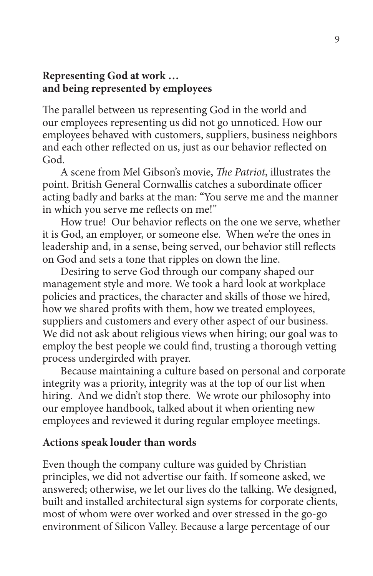#### **Representing God at work … and being represented by employees**

The parallel between us representing God in the world and our employees representing us did not go unnoticed. How our employees behaved with customers, suppliers, business neighbors and each other reflected on us, just as our behavior reflected on God.

 A scene from Mel Gibson's movie, *The Patriot*, illustrates the point. British General Cornwallis catches a subordinate officer acting badly and barks at the man: "You serve me and the manner in which you serve me reflects on me!"

 How true! Our behavior reflects on the one we serve, whether it is God, an employer, or someone else. When we're the ones in leadership and, in a sense, being served, our behavior still reflects on God and sets a tone that ripples on down the line.

 Desiring to serve God through our company shaped our management style and more. We took a hard look at workplace policies and practices, the character and skills of those we hired, how we shared profits with them, how we treated employees, suppliers and customers and every other aspect of our business. We did not ask about religious views when hiring; our goal was to employ the best people we could find, trusting a thorough vetting process undergirded with prayer.

 Because maintaining a culture based on personal and corporate integrity was a priority, integrity was at the top of our list when hiring. And we didn't stop there. We wrote our philosophy into our employee handbook, talked about it when orienting new employees and reviewed it during regular employee meetings.

#### **Actions speak louder than words**

Even though the company culture was guided by Christian principles, we did not advertise our faith. If someone asked, we answered; otherwise, we let our lives do the talking. We designed, built and installed architectural sign systems for corporate clients, most of whom were over worked and over stressed in the go-go environment of Silicon Valley. Because a large percentage of our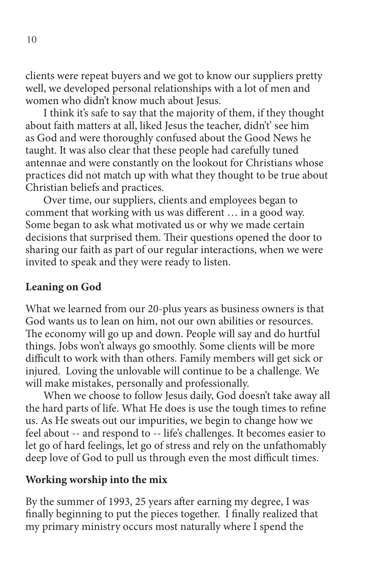clients were repeat buyers and we got to know our suppliers pretty well, we developed personal relationships with a lot of men and women who didn't know much about Jesus.

 I think it's safe to say that the majority of them, if they thought about faith matters at all, liked Jesus the teacher, didn't' see him as God and were thoroughly confused about the Good News he taught. It was also clear that these people had carefully tuned antennae and were constantly on the lookout for Christians whose practices did not match up with what they thought to be true about Christian beliefs and practices.

 Over time, our suppliers, clients and employees began to comment that working with us was different … in a good way. Some began to ask what motivated us or why we made certain decisions that surprised them. Their questions opened the door to sharing our faith as part of our regular interactions, when we were invited to speak and they were ready to listen.

## **Leaning on God**

What we learned from our 20-plus years as business owners is that God wants us to lean on him, not our own abilities or resources. The economy will go up and down. People will say and do hurtful things. Jobs won't always go smoothly. Some clients will be more difficult to work with than others. Family members will get sick or injured. Loving the unlovable will continue to be a challenge. We will make mistakes, personally and professionally.

 When we choose to follow Jesus daily, God doesn't take away all the hard parts of life. What He does is use the tough times to refine us. As He sweats out our impurities, we begin to change how we feel about -- and respond to -- life's challenges. It becomes easier to let go of hard feelings, let go of stress and rely on the unfathomably deep love of God to pull us through even the most difficult times.

#### **Working worship into the mix**

By the summer of 1993, 25 years after earning my degree, I was finally beginning to put the pieces together. I finally realized that my primary ministry occurs most naturally where I spend the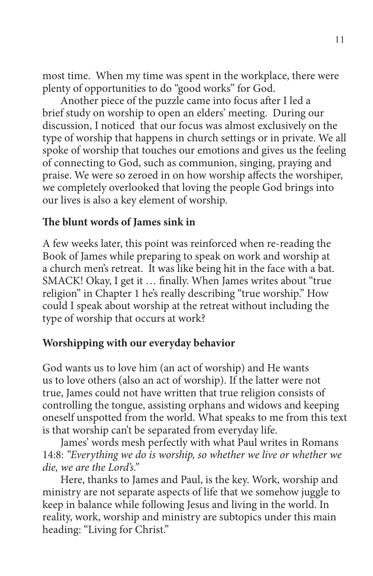most time. When my time was spent in the workplace, there were plenty of opportunities to do "good works" for God.

 Another piece of the puzzle came into focus after I led a brief study on worship to open an elders' meeting. During our discussion, I noticed that our focus was almost exclusively on the type of worship that happens in church settings or in private. We all spoke of worship that touches our emotions and gives us the feeling of connecting to God, such as communion, singing, praying and praise. We were so zeroed in on how worship affects the worshiper, we completely overlooked that loving the people God brings into our lives is also a key element of worship.

#### **The blunt words of James sink in**

A few weeks later, this point was reinforced when re-reading the Book of James while preparing to speak on work and worship at a church men's retreat. It was like being hit in the face with a bat. SMACK! Okay, I get it … finally. When James writes about "true religion" in Chapter 1 he's really describing "true worship." How could I speak about worship at the retreat without including the type of worship that occurs at work?

#### **Worshipping with our everyday behavior**

God wants us to love him (an act of worship) and He wants us to love others (also an act of worship). If the latter were not true, James could not have written that true religion consists of controlling the tongue, assisting orphans and widows and keeping oneself unspotted from the world. What speaks to me from this text is that worship can't be separated from everyday life.

 James' words mesh perfectly with what Paul writes in Romans 14:8: *"Everything we do is worship, so whether we live or whether we die, we are the Lord's."* 

 Here, thanks to James and Paul, is the key. Work, worship and ministry are not separate aspects of life that we somehow juggle to keep in balance while following Jesus and living in the world. In reality, work, worship and ministry are subtopics under this main heading: "Living for Christ."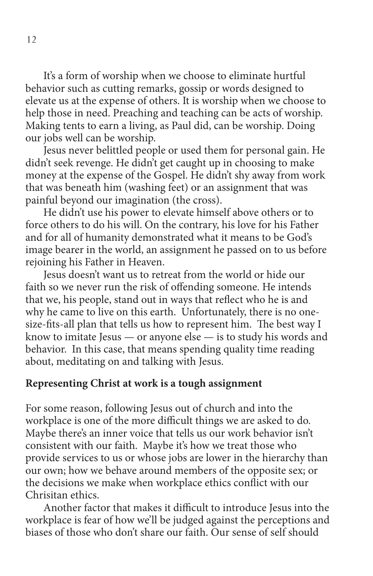It's a form of worship when we choose to eliminate hurtful behavior such as cutting remarks, gossip or words designed to elevate us at the expense of others. It is worship when we choose to help those in need. Preaching and teaching can be acts of worship. Making tents to earn a living, as Paul did, can be worship. Doing our jobs well can be worship.

 Jesus never belittled people or used them for personal gain. He didn't seek revenge. He didn't get caught up in choosing to make money at the expense of the Gospel. He didn't shy away from work that was beneath him (washing feet) or an assignment that was painful beyond our imagination (the cross).

 He didn't use his power to elevate himself above others or to force others to do his will. On the contrary, his love for his Father and for all of humanity demonstrated what it means to be God's image bearer in the world, an assignment he passed on to us before rejoining his Father in Heaven.

 Jesus doesn't want us to retreat from the world or hide our faith so we never run the risk of offending someone. He intends that we, his people, stand out in ways that reflect who he is and why he came to live on this earth. Unfortunately, there is no onesize-fits-all plan that tells us how to represent him. The best way I know to imitate Jesus — or anyone else — is to study his words and behavior. In this case, that means spending quality time reading about, meditating on and talking with Jesus.

#### **Representing Christ at work is a tough assignment**

For some reason, following Jesus out of church and into the workplace is one of the more difficult things we are asked to do. Maybe there's an inner voice that tells us our work behavior isn't consistent with our faith. Maybe it's how we treat those who provide services to us or whose jobs are lower in the hierarchy than our own; how we behave around members of the opposite sex; or the decisions we make when workplace ethics conflict with our Chrisitan ethics.

 Another factor that makes it difficult to introduce Jesus into the workplace is fear of how we'll be judged against the perceptions and biases of those who don't share our faith. Our sense of self should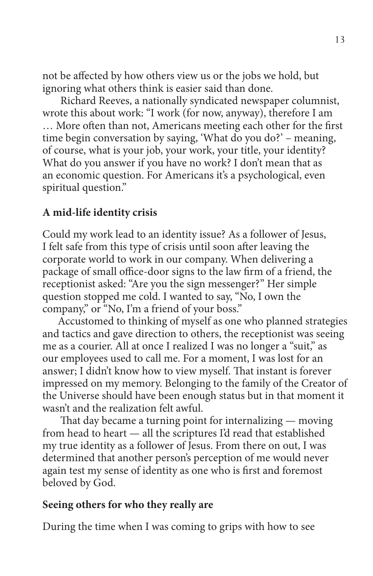not be affected by how others view us or the jobs we hold, but ignoring what others think is easier said than done.

 Richard Reeves, a nationally syndicated newspaper columnist, wrote this about work: "I work (for now, anyway), therefore I am … More often than not, Americans meeting each other for the first time begin conversation by saying, 'What do you do?' – meaning, of course, what is your job, your work, your title, your identity? What do you answer if you have no work? I don't mean that as an economic question. For Americans it's a psychological, even spiritual question."

## **A mid-life identity crisis**

Could my work lead to an identity issue? As a follower of Jesus, I felt safe from this type of crisis until soon after leaving the corporate world to work in our company. When delivering a package of small office-door signs to the law firm of a friend, the receptionist asked: "Are you the sign messenger?" Her simple question stopped me cold. I wanted to say, "No, I own the company," or "No, I'm a friend of your boss."

 Accustomed to thinking of myself as one who planned strategies and tactics and gave direction to others, the receptionist was seeing me as a courier. All at once I realized I was no longer a "suit," as our employees used to call me. For a moment, I was lost for an answer; I didn't know how to view myself. That instant is forever impressed on my memory. Belonging to the family of the Creator of the Universe should have been enough status but in that moment it wasn't and the realization felt awful.

 That day became a turning point for internalizing — moving from head to heart — all the scriptures I'd read that established my true identity as a follower of Jesus. From there on out, I was determined that another person's perception of me would never again test my sense of identity as one who is first and foremost beloved by God.

#### **Seeing others for who they really are**

During the time when I was coming to grips with how to see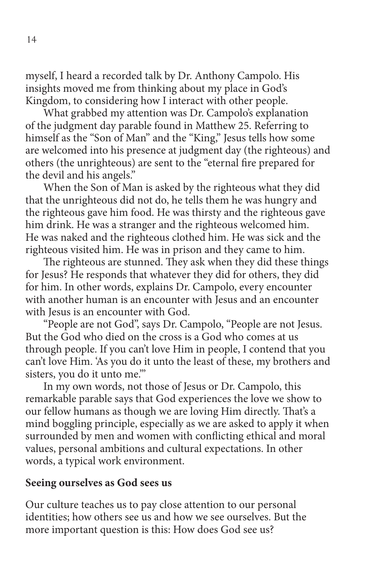myself, I heard a recorded talk by Dr. Anthony Campolo. His insights moved me from thinking about my place in God's Kingdom, to considering how I interact with other people.

 What grabbed my attention was Dr. Campolo's explanation of the judgment day parable found in Matthew 25. Referring to himself as the "Son of Man" and the "King," Jesus tells how some are welcomed into his presence at judgment day (the righteous) and others (the unrighteous) are sent to the "eternal fire prepared for the devil and his angels."

 When the Son of Man is asked by the righteous what they did that the unrighteous did not do, he tells them he was hungry and the righteous gave him food. He was thirsty and the righteous gave him drink. He was a stranger and the righteous welcomed him. He was naked and the righteous clothed him. He was sick and the righteous visited him. He was in prison and they came to him.

 The righteous are stunned. They ask when they did these things for Jesus? He responds that whatever they did for others, they did for him. In other words, explains Dr. Campolo, every encounter with another human is an encounter with Jesus and an encounter with Jesus is an encounter with God.

 "People are not God", says Dr. Campolo, "People are not Jesus. But the God who died on the cross is a God who comes at us through people. If you can't love Him in people, I contend that you can't love Him. 'As you do it unto the least of these, my brothers and sisters, you do it unto me.'"

 In my own words, not those of Jesus or Dr. Campolo, this remarkable parable says that God experiences the love we show to our fellow humans as though we are loving Him directly. That's a mind boggling principle, especially as we are asked to apply it when surrounded by men and women with conflicting ethical and moral values, personal ambitions and cultural expectations. In other words, a typical work environment.

#### **Seeing ourselves as God sees us**

Our culture teaches us to pay close attention to our personal identities; how others see us and how we see ourselves. But the more important question is this: How does God see us?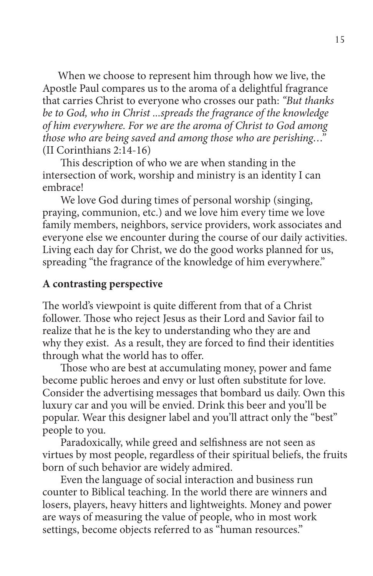When we choose to represent him through how we live, the Apostle Paul compares us to the aroma of a delightful fragrance that carries Christ to everyone who crosses our path: *"But thanks be to God, who in Christ ...spreads the fragrance of the knowledge of him everywhere. For we are the aroma of Christ to God among those who are being saved and among those who are perishing…"* (II Corinthians 2:14-16)

 This description of who we are when standing in the intersection of work, worship and ministry is an identity I can embrace!

We love God during times of personal worship (singing, praying, communion, etc.) and we love him every time we love family members, neighbors, service providers, work associates and everyone else we encounter during the course of our daily activities. Living each day for Christ, we do the good works planned for us, spreading "the fragrance of the knowledge of him everywhere."

## **A contrasting perspective**

The world's viewpoint is quite different from that of a Christ follower. Those who reject Jesus as their Lord and Savior fail to realize that he is the key to understanding who they are and why they exist. As a result, they are forced to find their identities through what the world has to offer.

 Those who are best at accumulating money, power and fame become public heroes and envy or lust often substitute for love. Consider the advertising messages that bombard us daily. Own this luxury car and you will be envied. Drink this beer and you'll be popular. Wear this designer label and you'll attract only the "best" people to you.

 Paradoxically, while greed and selfishness are not seen as virtues by most people, regardless of their spiritual beliefs, the fruits born of such behavior are widely admired.

 Even the language of social interaction and business run counter to Biblical teaching. In the world there are winners and losers, players, heavy hitters and lightweights. Money and power are ways of measuring the value of people, who in most work settings, become objects referred to as "human resources."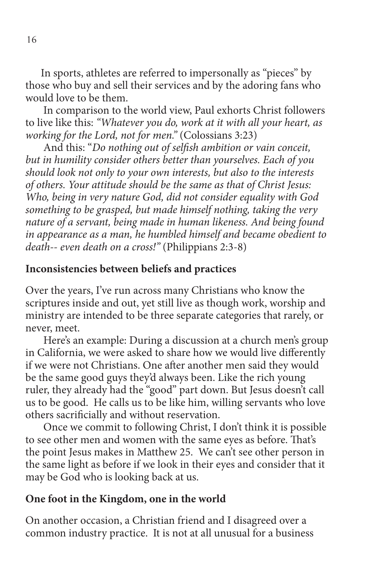In sports, athletes are referred to impersonally as "pieces" by those who buy and sell their services and by the adoring fans who would love to be them.

 In comparison to the world view, Paul exhorts Christ followers to live like this: *"Whatever you do, work at it with all your heart, as working for the Lord, not for men."* (Colossians 3:23)

 And this: "*Do nothing out of selfish ambition or vain conceit, but in humility consider others better than yourselves. Each of you should look not only to your own interests, but also to the interests of others. Your attitude should be the same as that of Christ Jesus: Who, being in very nature God, did not consider equality with God something to be grasped, but made himself nothing, taking the very nature of a servant, being made in human likeness. And being found in appearance as a man, he humbled himself and became obedient to death-- even death on a cross!"* (Philippians 2:3-8)

#### **Inconsistencies between beliefs and practices**

Over the years, I've run across many Christians who know the scriptures inside and out, yet still live as though work, worship and ministry are intended to be three separate categories that rarely, or never, meet.

 Here's an example: During a discussion at a church men's group in California, we were asked to share how we would live differently if we were not Christians. One after another men said they would be the same good guys they'd always been. Like the rich young ruler, they already had the "good" part down. But Jesus doesn't call us to be good. He calls us to be like him, willing servants who love others sacrificially and without reservation.

 Once we commit to following Christ, I don't think it is possible to see other men and women with the same eyes as before. That's the point Jesus makes in Matthew 25. We can't see other person in the same light as before if we look in their eyes and consider that it may be God who is looking back at us.

#### **One foot in the Kingdom, one in the world**

On another occasion, a Christian friend and I disagreed over a common industry practice. It is not at all unusual for a business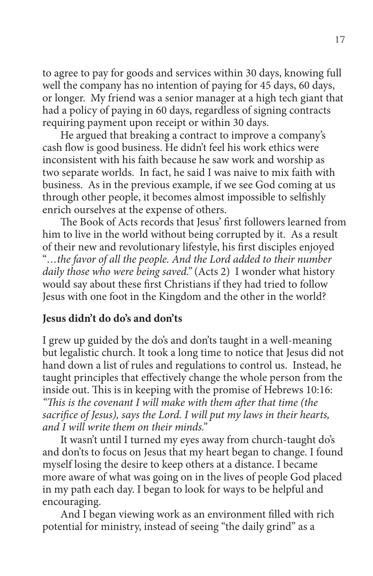to agree to pay for goods and services within 30 days, knowing full well the company has no intention of paying for 45 days, 60 days, or longer. My friend was a senior manager at a high tech giant that had a policy of paying in 60 days, regardless of signing contracts requiring payment upon receipt or within 30 days.

 He argued that breaking a contract to improve a company's cash flow is good business. He didn't feel his work ethics were inconsistent with his faith because he saw work and worship as two separate worlds. In fact, he said I was naive to mix faith with business. As in the previous example, if we see God coming at us through other people, it becomes almost impossible to selfishly enrich ourselves at the expense of others.

 The Book of Acts records that Jesus' first followers learned from him to live in the world without being corrupted by it. As a result of their new and revolutionary lifestyle, his first disciples enjoyed "*…the favor of all the people. And the Lord added to their number daily those who were being saved."* (Acts 2) I wonder what history would say about these first Christians if they had tried to follow Jesus with one foot in the Kingdom and the other in the world?

# **Jesus didn't do do's and don'ts**

I grew up guided by the do's and don'ts taught in a well-meaning but legalistic church. It took a long time to notice that Jesus did not hand down a list of rules and regulations to control us. Instead, he taught principles that effectively change the whole person from the inside out. This is in keeping with the promise of Hebrews 10:16: *"This is the covenant I will make with them after that time (the sacrifice of Jesus), says the Lord. I will put my laws in their hearts, and I will write them on their minds."*

 It wasn't until I turned my eyes away from church-taught do's and don'ts to focus on Jesus that my heart began to change. I found myself losing the desire to keep others at a distance. I became more aware of what was going on in the lives of people God placed in my path each day. I began to look for ways to be helpful and encouraging.

 And I began viewing work as an environment filled with rich potential for ministry, instead of seeing "the daily grind" as a